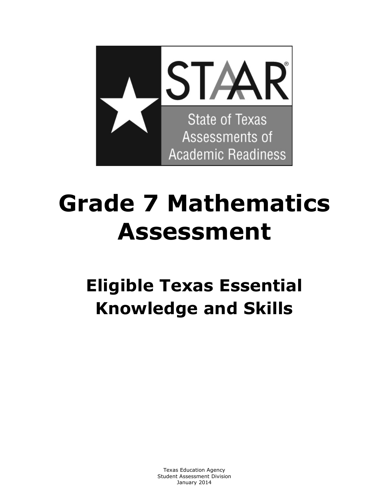

# **Grade 7 Mathematics Assessment**

# **Eligible Texas Essential Knowledge and Skills**

 Texas Education Agency Student Assessment Division January 2014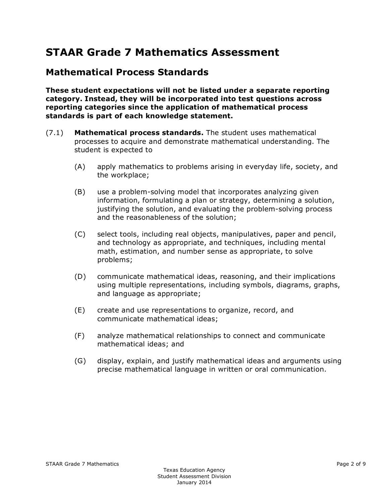# **STAAR Grade 7 Mathematics Assessment**

#### **Mathematical Process Standards**

**These student expectations will not be listed under a separate reporting category. Instead, they will be incorporated into test questions across reporting categories since the application of mathematical process standards is part of each knowledge statement.** 

- (7.1) **Mathematical process standards.** The student uses mathematical processes to acquire and demonstrate mathematical understanding. The student is expected to
	- (A) apply mathematics to problems arising in everyday life, society, and the workplace;
	- (B) use a problem-solving model that incorporates analyzing given information, formulating a plan or strategy, determining a solution, justifying the solution, and evaluating the problem-solving process and the reasonableness of the solution;
	- (C) select tools, including real objects, manipulatives, paper and pencil, and technology as appropriate, and techniques, including mental math, estimation, and number sense as appropriate, to solve problems;
	- (D) communicate mathematical ideas, reasoning, and their implications using multiple representations, including symbols, diagrams, graphs, and language as appropriate;
	- (E) create and use representations to organize, record, and communicate mathematical ideas;
	- (F) analyze mathematical relationships to connect and communicate mathematical ideas; and
	- (G) display, explain, and justify mathematical ideas and arguments using precise mathematical language in written or oral communication.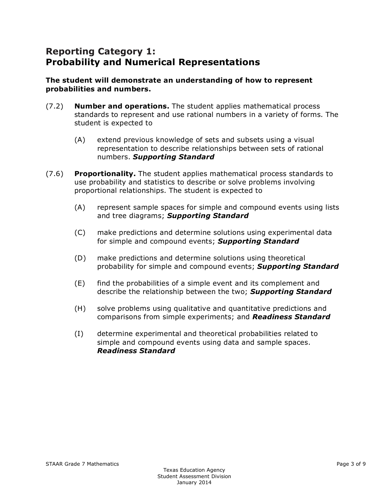#### **Reporting Category 1: Probability and Numerical Representations**

#### **The student will demonstrate an understanding of how to represent probabilities and numbers.**

- (7.2) **Number and operations.** The student applies mathematical process standards to represent and use rational numbers in a variety of forms. The student is expected to
	- (A) extend previous knowledge of sets and subsets using a visual representation to describe relationships between sets of rational numbers. *Supporting Standard*
- (7.6) **Proportionality.** The student applies mathematical process standards to use probability and statistics to describe or solve problems involving proportional relationships. The student is expected to
	- (A) represent sample spaces for simple and compound events using lists and tree diagrams; *Supporting Standard*
	- (C) make predictions and determine solutions using experimental data for simple and compound events; *Supporting Standard*
	- (D) make predictions and determine solutions using theoretical probability for simple and compound events; *Supporting Standard*
	- (E) find the probabilities of a simple event and its complement and describe the relationship between the two; *Supporting Standard*
	- (H) solve problems using qualitative and quantitative predictions and comparisons from simple experiments; and *Readiness Standard*
	- (I) determine experimental and theoretical probabilities related to simple and compound events using data and sample spaces. *Readiness Standard*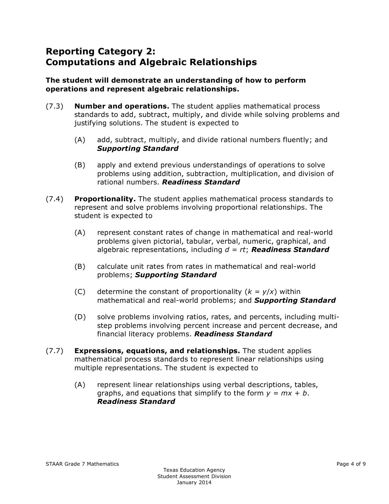# **Reporting Category 2: Computations and Algebraic Relationships**

#### **The student will demonstrate an understanding of how to perform operations and represent algebraic relationships.**

- (7.3) **Number and operations.** The student applies mathematical process standards to add, subtract, multiply, and divide while solving problems and justifying solutions. The student is expected to
	- (A) add, subtract, multiply, and divide rational numbers fluently; and *Supporting Standard*
	- (B) apply and extend previous understandings of operations to solve problems using addition, subtraction, multiplication, and division of rational numbers. *Readiness Standard*
- (7.4) **Proportionality.** The student applies mathematical process standards to represent and solve problems involving proportional relationships. The student is expected to
	- (A) represent constant rates of change in mathematical and real-world problems given pictorial, tabular, verbal, numeric, graphical, and algebraic representations, including *d = rt*; *Readiness Standard*
	- (B) calculate unit rates from rates in mathematical and real-world problems; *Supporting Standard*
	- (C) determine the constant of proportionality  $(k = y/x)$  within mathematical and real-world problems; and *Supporting Standard*
	- (D) solve problems involving ratios, rates, and percents, including multistep problems involving percent increase and percent decrease, and financial literacy problems. *Readiness Standard*
- (7.7) **Expressions, equations, and relationships.** The student applies mathematical process standards to represent linear relationships using multiple representations. The student is expected to
	- (A) represent linear relationships using verbal descriptions, tables, graphs, and equations that simplify to the form  $y = mx + b$ . *Readiness Standard*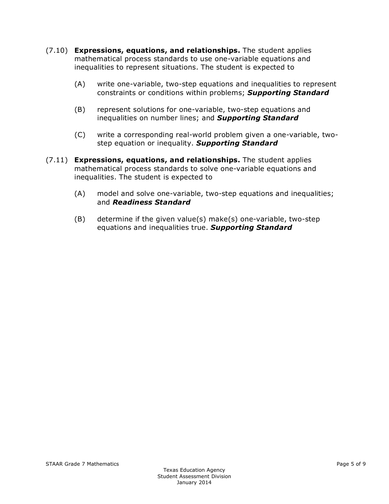- (7.10) **Expressions, equations, and relationships.** The student applies mathematical process standards to use one-variable equations and inequalities to represent situations. The student is expected to
	- (A) write one-variable, two-step equations and inequalities to represent constraints or conditions within problems; *Supporting Standard*
	- (B) represent solutions for one-variable, two-step equations and inequalities on number lines; and *Supporting Standard*
	- (C) write a corresponding real-world problem given a one-variable, twostep equation or inequality. *Supporting Standard*
- (7.11) **Expressions, equations, and relationships.** The student applies mathematical process standards to solve one-variable equations and inequalities. The student is expected to
	- (A) model and solve one-variable, two-step equations and inequalities; and *Readiness Standard*
	- (B) determine if the given value(s) make(s) one-variable, two-step equations and inequalities true. *Supporting Standard*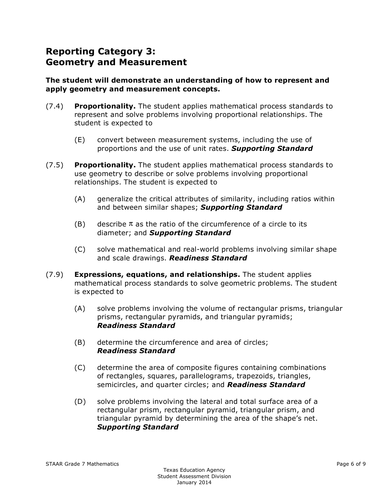## **Reporting Category 3: Geometry and Measurement**

#### **The student will demonstrate an understanding of how to represent and apply geometry and measurement concepts.**

- (7.4) **Proportionality.** The student applies mathematical process standards to represent and solve problems involving proportional relationships. The student is expected to
	- (E) convert between measurement systems, including the use of proportions and the use of unit rates. *Supporting Standard*
- (7.5) **Proportionality.** The student applies mathematical process standards to use geometry to describe or solve problems involving proportional relationships. The student is expected to
	- (A) generalize the critical attributes of similarity, including ratios within and between similar shapes; *Supporting Standard*
	- (B) describe  $\pi$  as the ratio of the circumference of a circle to its diameter; and *Supporting Standard*
	- (C) solve mathematical and real-world problems involving similar shape and scale drawings. *Readiness Standard*
- (7.9) **Expressions, equations, and relationships.** The student applies mathematical process standards to solve geometric problems. The student is expected to
	- (A) solve problems involving the volume of rectangular prisms, triangular prisms, rectangular pyramids, and triangular pyramids; *Readiness Standard*
	- (B) determine the circumference and area of circles; *Readiness Standard*
	- (C) determine the area of composite figures containing combinations of rectangles, squares, parallelograms, trapezoids, triangles, semicircles, and quarter circles; and *Readiness Standard*
	- (D) solve problems involving the lateral and total surface area of a rectangular prism, rectangular pyramid, triangular prism, and triangular pyramid by determining the area of the shape's net. *Supporting Standard*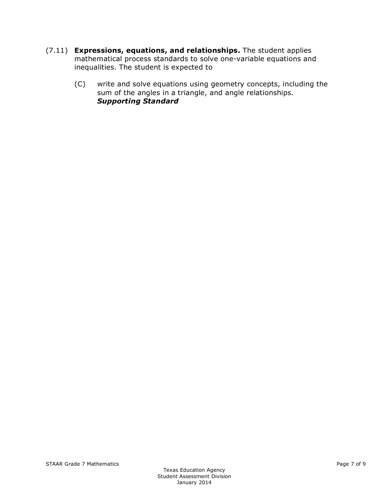- (7.11) **Expressions, equations, and relationships.** The student applies mathematical process standards to solve one-variable equations and inequalities. The student is expected to
	- (C) write and solve equations using geometry concepts, including the sum of the angles in a triangle, and angle relationships. *Supporting Standard*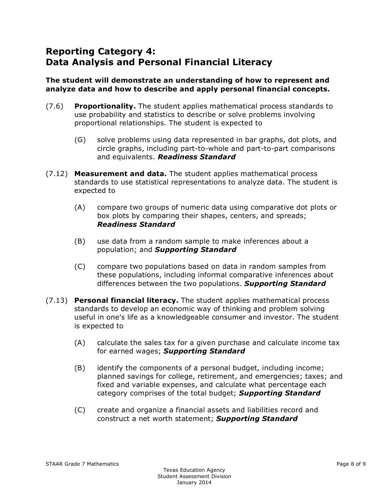# **Reporting Category 4: Data Analysis and Personal Financial Literacy**

#### **The student will demonstrate an understanding of how to represent and analyze data and how to describe and apply personal financial concepts.**

- (7.6) **Proportionality.** The student applies mathematical process standards to use probability and statistics to describe or solve problems involving proportional relationships. The student is expected to
	- (G) solve problems using data represented in bar graphs, dot plots, and circle graphs, including part-to-whole and part-to-part comparisons and equivalents. *Readiness Standard*
- (7.12) **Measurement and data.** The student applies mathematical process standards to use statistical representations to analyze data. The student is expected to
	- (A) compare two groups of numeric data using comparative dot plots or box plots by comparing their shapes, centers, and spreads; *Readiness Standard*
	- (B) use data from a random sample to make inferences about a population; and *Supporting Standard*
	- (C) compare two populations based on data in random samples from these populations, including informal comparative inferences about differences between the two populations. *Supporting Standard*
- (7.13) **Personal financial literacy.** The student applies mathematical process standards to develop an economic way of thinking and problem solving useful in one's life as a knowledgeable consumer and investor. The student is expected to
	- (A) calculate the sales tax for a given purchase and calculate income tax for earned wages; *Supporting Standard*
	- (B) identify the components of a personal budget, including income; planned savings for college, retirement, and emergencies; taxes; and fixed and variable expenses, and calculate what percentage each category comprises of the total budget; *Supporting Standard*
	- (C) create and organize a financial assets and liabilities record and construct a net worth statement; *Supporting Standard*